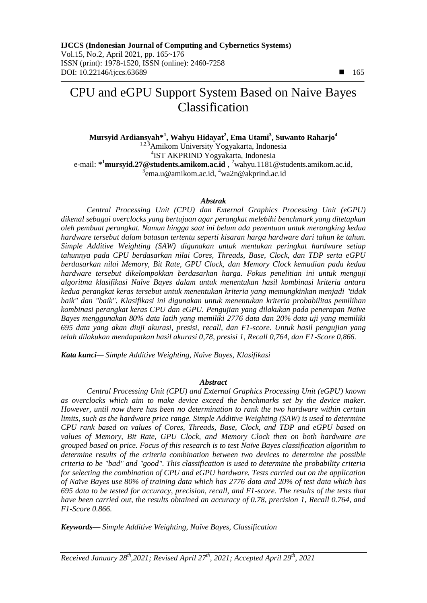**Mursyid Ardiansyah\*<sup>1</sup> , Wahyu Hidayat<sup>2</sup> , Ema Utami<sup>3</sup> , Suwanto Raharjo<sup>4</sup>** <sup>1,2,3</sup>Amikom University Yogyakarta, Indonesia 4 IST AKPRIND Yogyakarta, Indonesia e-mail: **\* <sup>1</sup>[mursyid.27@students.amikom.ac.id](mailto:1mursyid.27@students.amikom.ac.id)** , <sup>2</sup>[wahyu.1181@students.amikom.ac.id,](mailto:2wahyu.1181@students.amikom.ac.id) <sup>3</sup>ema.u@amikom.ac.id, <sup>4</sup>wa2n@akprind.ac.id

#### *Abstrak*

*Central Processing Unit (CPU) dan External Graphics Processing Unit (eGPU) dikenal sebagai overclocks yang bertujuan agar perangkat melebihi benchmark yang ditetapkan oleh pembuat perangkat. Namun hingga saat ini belum ada penentuan untuk merangking kedua hardware tersebut dalam batasan tertentu seperti kisaran harga hardware dari tahun ke tahun. Simple Additive Weighting (SAW) digunakan untuk mentukan peringkat hardware setiap tahunnya pada CPU berdasarkan nilai Cores, Threads, Base, Clock, dan TDP serta eGPU berdasarkan nilai Memory, Bit Rate, GPU Clock, dan Memory Clock kemudian pada kedua hardware tersebut dikelompokkan berdasarkan harga. Fokus penelitian ini untuk menguji algoritma klasifikasi Naïve Bayes dalam untuk menentukan hasil kombinasi kriteria antara kedua perangkat keras tersebut untuk menentukan kriteria yang memungkinkan menjadi "tidak baik" dan "baik". Klasifikasi ini digunakan untuk menentukan kriteria probabilitas pemilihan kombinasi perangkat keras CPU dan eGPU. Pengujian yang dilakukan pada penerapan Naïve Bayes menggunakan 80% data latih yang memiliki 2776 data dan 20% data uji yang memiliki 695 data yang akan diuji akurasi, presisi, recall, dan F1-score. Untuk hasil pengujian yang telah dilakukan mendapatkan hasil akurasi 0,78, presisi 1, Recall 0,764, dan F1-Score 0,866.* 

*Kata kunci— Simple Additive Weighting, Naïve Bayes, Klasifikasi*

#### *Abstract*

*Central Processing Unit (CPU) and External Graphics Processing Unit (eGPU) known as overclocks which aim to make device exceed the benchmarks set by the device maker. However, until now there has been no determination to rank the two hardware within certain limits, such as the hardware price range. Simple Additive Weighting (SAW) is used to determine CPU rank based on values of Cores, Threads, Base, Clock, and TDP and eGPU based on values of Memory, Bit Rate, GPU Clock, and Memory Clock then on both hardware are grouped based on price. Focus of this research is to test Naïve Bayes classification algorithm to determine results of the criteria combination between two devices to determine the possible criteria to be "bad" and "good". This classification is used to determine the probability criteria for selecting the combination of CPU and eGPU hardware. Tests carried out on the application of Naïve Bayes use 80% of training data which has 2776 data and 20% of test data which has 695 data to be tested for accuracy, precision, recall, and F1-score. The results of the tests that have been carried out, the results obtained an accuracy of 0.78, precision 1, Recall 0.764, and F1-Score 0.866.*

*Keywords— Simple Additive Weighting, Naïve Bayes, Classification*

*Received January 28th ,2021; Revised April 27 th, 2021; Accepted April 29th, 2021*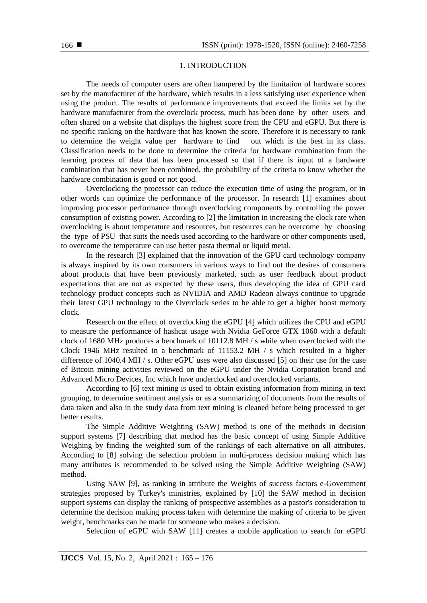## 1. INTRODUCTION

The needs of computer users are often hampered by the limitation of hardware scores set by the manufacturer of the hardware, which results in a less satisfying user experience when using the product. The results of performance improvements that exceed the limits set by the hardware manufacturer from the overclock process, much has been done by other users and often shared on a website that displays the highest score from the CPU and eGPU. But there is no specific ranking on the hardware that has known the score. Therefore it is necessary to rank to determine the weight value per hardware to find out which is the best in its class. Classification needs to be done to determine the criteria for hardware combination from the learning process of data that has been processed so that if there is input of a hardware combination that has never been combined, the probability of the criteria to know whether the hardware combination is good or not good.

Overclocking the processor can reduce the execution time of using the program, or in other words can optimize the performance of the processor. In research [1] examines about improving processor performance through overclocking components by controlling the power consumption of existing power. According to [2] the limitation in increasing the clock rate when overclocking is about temperature and resources, but resources can be overcome by choosing the type of PSU that suits the needs used according to the hardware or other components used, to overcome the temperature can use better pasta thermal or liquid metal.

In the research [3] explained that the innovation of the GPU card technology company is always inspired by its own consumers in various ways to find out the desires of consumers about products that have been previously marketed, such as user feedback about product expectations that are not as expected by these users, thus developing the idea of GPU card technology product concepts such as NVIDIA and AMD Radeon always continue to upgrade their latest GPU technology to the Overclock series to be able to get a higher boost memory clock.

Research on the effect of overclocking the eGPU [4] which utilizes the CPU and eGPU to measure the performance of hashcat usage with Nvidia GeForce GTX 1060 with a default clock of 1680 MHz produces a benchmark of 10112.8 MH / s while when overclocked with the Clock 1946 MHz resulted in a benchmark of 11153.2 MH / s which resulted in a higher difference of 1040.4 MH / s. Other eGPU uses were also discussed [5] on their use for the case of Bitcoin mining activities reviewed on the eGPU under the Nvidia Corporation brand and Advanced Micro Devices, Inc which have underclocked and overclocked variants.

According to [6] text mining is used to obtain existing information from mining in text grouping, to determine sentiment analysis or as a summarizing of documents from the results of data taken and also in the study data from text mining is cleaned before being processed to get better results.

The Simple Additive Weighting (SAW) method is one of the methods in decision support systems [7] describing that method has the basic concept of using Simple Additive Weighing by finding the weighted sum of the rankings of each alternative on all attributes. According to [8] solving the selection problem in multi-process decision making which has many attributes is recommended to be solved using the Simple Additive Weighting (SAW) method.

Using SAW [9], as ranking in attribute the Weights of success factors e-Government strategies proposed by Turkey's ministries, explained by [10] the SAW method in decision support systems can display the ranking of prospective assemblies as a pastor's consideration to determine the decision making process taken with determine the making of criteria to be given weight, benchmarks can be made for someone who makes a decision.

Selection of eGPU with SAW [11] creates a mobile application to search for eGPU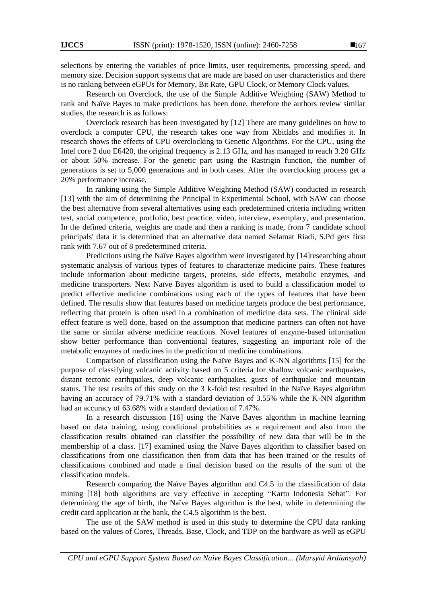selections by entering the variables of price limits, user requirements, processing speed, and memory size. Decision support systems that are made are based on user characteristics and there is no ranking between eGPUs for Memory, Bit Rate, GPU Clock, or Memory Clock values.

Research on Overclock, the use of the Simple Additive Weighting (SAW) Method to rank and Naïve Bayes to make predictions has been done, therefore the authors review similar studies, the research is as follows:

Overclock research has been investigated by [12] There are many guidelines on how to overclock a computer CPU, the research takes one way from Xbitlabs and modifies it. In research shows the effects of CPU overclocking to Genetic Algorithms. For the CPU, using the Intel core 2 duo E6420, the original frequency is 2.13 GHz, and has managed to reach 3.20 GHz or about 50% increase. For the genetic part using the Rastrigin function, the number of generations is set to 5,000 generations and in both cases. After the overclocking process get a 20% performance increase.

In ranking using the Simple Additive Weighting Method (SAW) conducted in research [13] with the aim of determining the Principal in Experimental School, with SAW can choose the best alternative from several alternatives using each predetermined criteria including written test, social competence, portfolio, best practice, video, interview, exemplary, and presentation. In the defined criteria, weights are made and then a ranking is made, from 7 candidate school principals' data it is determined that an alternative data named Selamat Riadi, S.Pd gets first rank with 7.67 out of 8 predetermined criteria.

Predictions using the Naïve Bayes algorithm were investigated by [14]researching about systematic analysis of various types of features to characterize medicine pairs. These features include information about medicine targets, proteins, side effects, metabolic enzymes, and medicine transporters. Next Naïve Bayes algorithm is used to build a classification model to predict effective medicine combinations using each of the types of features that have been defined. The results show that features based on medicine targets produce the best performance, reflecting that protein is often used in a combination of medicine data sets. The clinical side effect feature is well done, based on the assumption that medicine partners can often not have the same or similar adverse medicine reactions. Novel features of enzyme-based information show better performance than conventional features, suggesting an important role of the metabolic enzymes of medicines in the prediction of medicine combinations.

Comparison of classification using the Naïve Bayes and K-NN algorithms [15] for the purpose of classifying volcanic activity based on 5 criteria for shallow volcanic earthquakes, distant tectonic earthquakes, deep volcanic earthquakes, gusts of earthquake and mountain status. The test results of this study on the 3 k-fold test resulted in the Naïve Bayes algorithm having an accuracy of 79.71% with a standard deviation of 3.55% while the K-NN algorithm had an accuracy of 63.68% with a standard deviation of 7.47%.

In a research discussion [16] using the Naïve Bayes algorithm in machine learning based on data training, using conditional probabilities as a requirement and also from the classification results obtained can classifier the possibility of new data that will be in the membership of a class. [17] examined using the Naïve Bayes algorithm to classifier based on classifications from one classification then from data that has been trained or the results of classifications combined and made a final decision based on the results of the sum of the classification models.

Research comparing the Naïve Bayes algorithm and C4.5 in the classification of data mining [18] both algorithms are very effective in accepting "Kartu Indonesia Sehat". For determining the age of birth, the Naïve Bayes algorithm is the best, while in determining the credit card application at the bank, the C4.5 algorithm is the best.

The use of the SAW method is used in this study to determine the CPU data ranking based on the values of Cores, Threads, Base, Clock, and TDP on the hardware as well as eGPU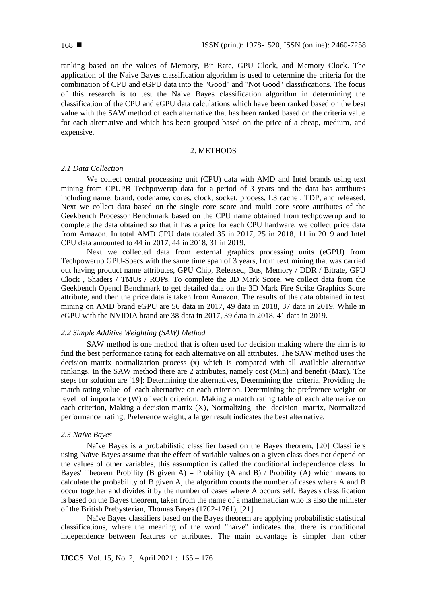ranking based on the values of Memory, Bit Rate, GPU Clock, and Memory Clock. The application of the Naive Bayes classification algorithm is used to determine the criteria for the combination of CPU and eGPU data into the "Good" and "Not Good" classifications. The focus of this research is to test the Naive Bayes classification algorithm in determining the classification of the CPU and eGPU data calculations which have been ranked based on the best value with the SAW method of each alternative that has been ranked based on the criteria value for each alternative and which has been grouped based on the price of a cheap, medium, and expensive.

## 2. METHODS

# *2.1 Data Collection*

We collect central processing unit (CPU) data with AMD and Intel brands using text mining from CPUPB Techpowerup data for a period of 3 years and the data has attributes including name, brand, codename, cores, clock, socket, process, L3 cache , TDP, and released. Next we collect data based on the single core score and multi core score attributes of the Geekbench Processor Benchmark based on the CPU name obtained from techpowerup and to complete the data obtained so that it has a price for each CPU hardware, we collect price data from Amazon. In total AMD CPU data totaled 35 in 2017, 25 in 2018, 11 in 2019 and Intel CPU data amounted to 44 in 2017, 44 in 2018, 31 in 2019.

Next we collected data from external graphics processing units (eGPU) from Techpowerup GPU-Specs with the same time span of 3 years, from text mining that was carried out having product name attributes, GPU Chip, Released, Bus, Memory / DDR / Bitrate, GPU Clock , Shaders / TMUs / ROPs. To complete the 3D Mark Score, we collect data from the Geekbench Opencl Benchmark to get detailed data on the 3D Mark Fire Strike Graphics Score attribute, and then the price data is taken from Amazon. The results of the data obtained in text mining on AMD brand eGPU are 56 data in 2017, 49 data in 2018, 37 data in 2019. While in eGPU with the NVIDIA brand are 38 data in 2017, 39 data in 2018, 41 data in 2019.

# *2.2 Simple Additive Weighting (SAW) Method*

SAW method is one method that is often used for decision making where the aim is to find the best performance rating for each alternative on all attributes. The SAW method uses the decision matrix normalization process (x) which is compared with all available alternative rankings. In the SAW method there are 2 attributes, namely cost (Min) and benefit (Max). The steps for solution are [19]: Determining the alternatives, Determining the criteria, Providing the match rating value of each alternative on each criterion, Determining the preference weight or level of importance (W) of each criterion, Making a match rating table of each alternative on each criterion, Making a decision matrix (X), Normalizing the decision matrix, Normalized performance rating, Preference weight, a larger result indicates the best alternative.

## *2.3 Naïve Bayes*

Naïve Bayes is a probabilistic classifier based on the Bayes theorem, [20] Classifiers using Naïve Bayes assume that the effect of variable values on a given class does not depend on the values of other variables, this assumption is called the conditional independence class. In Bayes' Theorem Probility (B given A) = Probility (A and B) / Probility (A) which means to calculate the probability of B given A, the algorithm counts the number of cases where A and B occur together and divides it by the number of cases where A occurs self. Bayes's classification is based on the Bayes theorem, taken from the name of a mathematician who is also the minister of the British Prebysterian, Thomas Bayes (1702-1761), [21].

Naïve Bayes classifiers based on the Bayes theorem are applying probabilistic statistical classifications, where the meaning of the word "naïve" indicates that there is conditional independence between features or attributes. The main advantage is simpler than other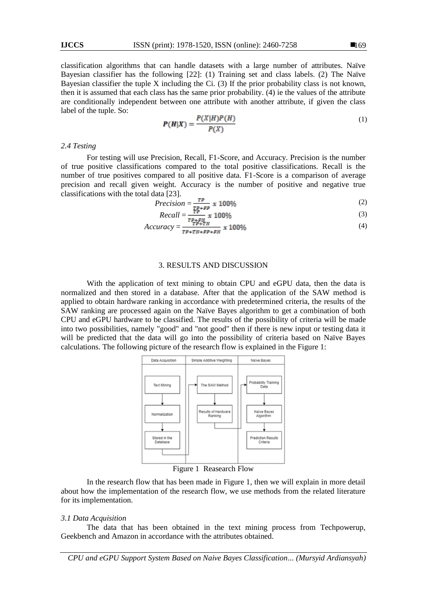classification algorithms that can handle datasets with a large number of attributes. Naïve Bayesian classifier has the following [22]: (1) Training set and class labels. (2) The Naïve Bayesian classifier the tuple X including the Ci. (3) If the prior probability class is not known, then it is assumed that each class has the same prior probability. (4) ie the values of the attribute are conditionally independent between one attribute with another attribute, if given the class label of the tuple. So:

$$
P(H|X) = \frac{P(X|H)P(H)}{P(X)}\tag{1}
$$

## *2.4 Testing*

For testing will use Precision, Recall, F1-Score, and Accuracy. Precision is the number of true positive classifications compared to the total positive classifications. Recall is the number of true positives compared to all positive data. F1-Score is a comparison of average precision and recall given weight. Accuracy is the number of positive and negative true classifications with the total data [23].

$$
Precision = \frac{\tau_P}{\tau_{P+FP}} \times 100\%
$$
 (2)

$$
Recall = \frac{TP}{TP + FN} \times 100\%
$$
\n<sup>(3)</sup>

$$
Accuracy = \frac{r_{\text{p+TN}}}{r_{\text{p+TN}+FP+FN}} \times 100\%
$$
\n
$$
\tag{4}
$$

#### 3. RESULTS AND DISCUSSION

With the application of text mining to obtain CPU and eGPU data, then the data is normalized and then stored in a database. After that the application of the SAW method is applied to obtain hardware ranking in accordance with predetermined criteria, the results of the SAW ranking are processed again on the Naïve Bayes algorithm to get a combination of both CPU and eGPU hardware to be classified. The results of the possibility of criteria will be made into two possibilities, namely "good" and "not good" then if there is new input or testing data it will be predicted that the data will go into the possibility of criteria based on Naïve Bayes calculations. The following picture of the research flow is explained in the Figure 1:



Figure 1 Reasearch Flow

In the research flow that has been made in Figure 1, then we will explain in more detail about how the implementation of the research flow, we use methods from the related literature for its implementation.

#### *3.1 Data Acquisition*

The data that has been obtained in the text mining process from Techpowerup, Geekbench and Amazon in accordance with the attributes obtained.

*CPU and eGPU Support System Based on Naive Bayes Classification... (Mursyid Ardiansyah)*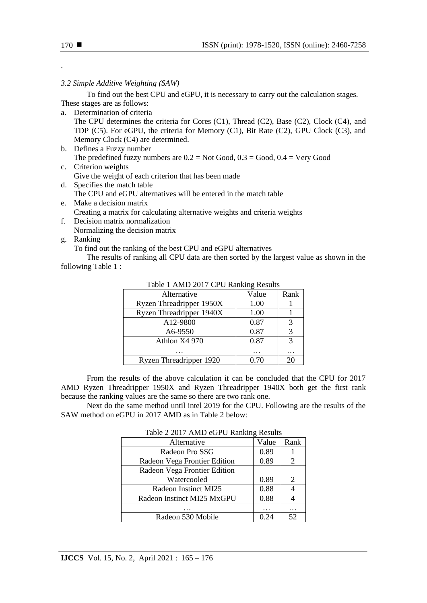.

# *3.2 Simple Additive Weighting (SAW)*

To find out the best CPU and eGPU, it is necessary to carry out the calculation stages. These stages are as follows:

a. Determination of criteria

The CPU determines the criteria for Cores (C1), Thread (C2), Base (C2), Clock (C4), and TDP (C5). For eGPU, the criteria for Memory (C1), Bit Rate (C2), GPU Clock (C3), and Memory Clock (C4) are determined.

b. Defines a Fuzzy number The predefined fuzzy numbers are  $0.2$  = Not Good,  $0.3$  = Good,  $0.4$  = Very Good

c. Criterion weights Give the weight of each criterion that has been made

- d. Specifies the match table The CPU and eGPU alternatives will be entered in the match table
- e. Make a decision matrix Creating a matrix for calculating alternative weights and criteria weights
- f. Decision matrix normalization Normalizing the decision matrix
- g. Ranking

To find out the ranking of the best CPU and eGPU alternatives

The results of ranking all CPU data are then sorted by the largest value as shown in the following Table 1 :

| Alternative              | Value  | Rank |
|--------------------------|--------|------|
| Ryzen Threadripper 1950X | 1.00   |      |
| Ryzen Threadripper 1940X | 1.00   |      |
| A12-9800                 | 0.87   | 3    |
| A6-9550                  | 0.87   |      |
| Athlon X4 970            | 0.87   | 3    |
|                          |        |      |
| Ryzen Threadripper 1920  | () 7() |      |

# Table 1 AMD 2017 CPU Ranking Results

From the results of the above calculation it can be concluded that the CPU for 2017 AMD Ryzen Threadripper 1950X and Ryzen Threadripper 1940X both get the first rank because the ranking values are the same so there are two rank one.

Next do the same method until intel 2019 for the CPU. Following are the results of the SAW method on eGPU in 2017 AMD as in Table 2 below:

| Table $\angle 2017$ And COT $\cup$ Raiming Results |       |      |  |
|----------------------------------------------------|-------|------|--|
| Alternative                                        | Value | Rank |  |
| Radeon Pro SSG                                     | 0.89  |      |  |
| Radeon Vega Frontier Edition                       | 0.89  | 2    |  |
| Radeon Vega Frontier Edition                       |       |      |  |
| Watercooled                                        | 0.89  | 2    |  |
| Radeon Instinct MI25                               | 0.88  |      |  |
| Radeon Instinct MI25 MxGPU                         | 0.88  |      |  |
|                                                    |       |      |  |
| Radeon 530 Mobile                                  |       | 52   |  |

## Table 2 2017 AMD eCPU Repling Results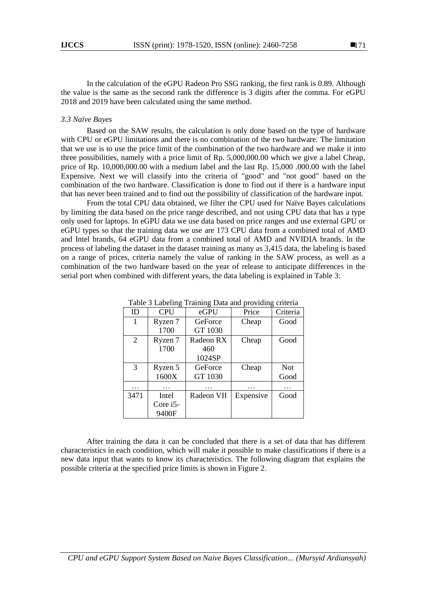In the calculation of the eGPU Radeon Pro SSG ranking, the first rank is 0.89. Although the value is the same as the second rank the difference is 3 digits after the comma. For eGPU 2018 and 2019 have been calculated using the same method.

#### *3.3 Naïve Bayes*

Based on the SAW results, the calculation is only done based on the type of hardware with CPU or eGPU limitations and there is no combination of the two hardware. The limitation that we use is to use the price limit of the combination of the two hardware and we make it into three possibilities, namely with a price limit of Rp. 5,000,000.00 which we give a label Cheap, price of Rp. 10,000,000.00 with a medium label and the last Rp. 15,000 .000.00 with the label Expensive. Next we will classify into the criteria of "good" and "not good" based on the combination of the two hardware. Classification is done to find out if there is a hardware input that has never been trained and to find out the possibility of classification of the hardware input.

From the total CPU data obtained, we filter the CPU used for Naïve Bayes calculations by limiting the data based on the price range described, and not using CPU data that has a type only used for laptops. In eGPU data we use data based on price ranges and use external GPU or eGPU types so that the training data we use are 173 CPU data from a combined total of AMD and Intel brands, 64 eGPU data from a combined total of AMD and NVIDIA brands. In the process of labeling the dataset in the dataset training as many as 3,415 data, the labeling is based on a range of prices, criteria namely the value of ranking in the SAW process, as well as a combination of the two hardware based on the year of release to anticipate differences in the serial port when combined with different years, the data labeling is explained in Table 3:

| $14010 \text{ J}$ $\mu$<br>$11$ and $\leq 10$ and $\leq 10$<br>P10110111 |            |            |           |            |
|--------------------------------------------------------------------------|------------|------------|-----------|------------|
| ID                                                                       | <b>CPU</b> | eGPU       | Price     | Criteria   |
| 1                                                                        | Ryzen 7    | GeForce    | Cheap     | Good       |
|                                                                          | 1700       | GT 1030    |           |            |
| 2                                                                        | Ryzen 7    | Radeon RX  | Cheap     | Good       |
|                                                                          | 1700       | 460        |           |            |
|                                                                          |            | 1024SP     |           |            |
| 3                                                                        | Ryzen 5    | GeForce    | Cheap     | <b>Not</b> |
|                                                                          | 1600X      | GT 1030    |           | Good       |
|                                                                          |            |            |           | .          |
| 3471                                                                     | Intel      | Radeon VII | Expensive | Good       |
|                                                                          | Core i5-   |            |           |            |
|                                                                          | 9400F      |            |           |            |

Table 3 Labeling Training Data and providing criteria

After training the data it can be concluded that there is a set of data that has different characteristics in each condition, which will make it possible to make classifications if there is a new data input that wants to know its characteristics. The following diagram that explains the possible criteria at the specified price limits is shown in Figure 2.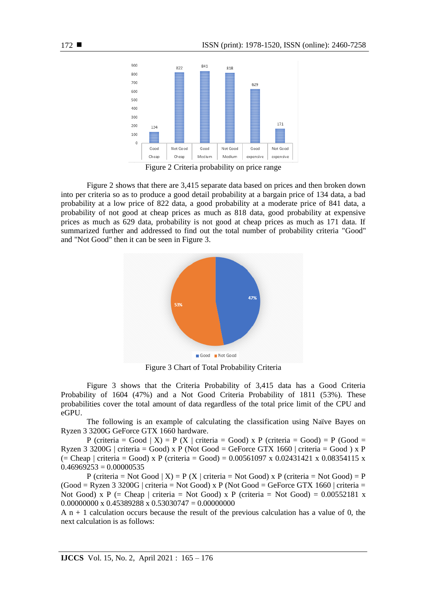

Figure 2 Criteria probability on price range

Figure 2 shows that there are 3,415 separate data based on prices and then broken down into per criteria so as to produce a good detail probability at a bargain price of 134 data, a bad probability at a low price of 822 data, a good probability at a moderate price of 841 data, a probability of not good at cheap prices as much as 818 data, good probability at expensive prices as much as 629 data, probability is not good at cheap prices as much as 171 data. If summarized further and addressed to find out the total number of probability criteria "Good" and "Not Good" then it can be seen in Figure 3.



Figure 3 Chart of Total Probability Criteria

Figure 3 shows that the Criteria Probability of 3,415 data has a Good Criteria Probability of 1604 (47%) and a Not Good Criteria Probability of 1811 (53%). These probabilities cover the total amount of data regardless of the total price limit of the CPU and eGPU.

The following is an example of calculating the classification using Naïve Bayes on Ryzen 3 3200G GeForce GTX 1660 hardware.

P (criteria = Good | X) = P (X | criteria = Good) x P (criteria = Good) = P (Good = Ryzen 3 3200G | criteria = Good) x P (Not Good = GeForce GTX 1660 | criteria = Good) x P  $(=$  Cheap | criteria = Good) x P (criteria = Good) = 0.00561097 x 0.02431421 x 0.08354115 x  $0.46969253 = 0.00000535$ 

P (criteria = Not Good  $| X$ ) = P (X | criteria = Not Good) x P (criteria = Not Good) = P  $(Good = Ryzen 3 3200G | criteria = Not Good)$  x P (Not  $Good = GeForce GTX 1660 | criteria =$ Not Good) x P (= Cheap | criteria = Not Good) x P (criteria = Not Good) =  $0.00552181$  x 0.00000000 x 0.45389288 x 0.53030747 = 0.00000000

 $A$  n + 1 calculation occurs because the result of the previous calculation has a value of 0, the next calculation is as follows: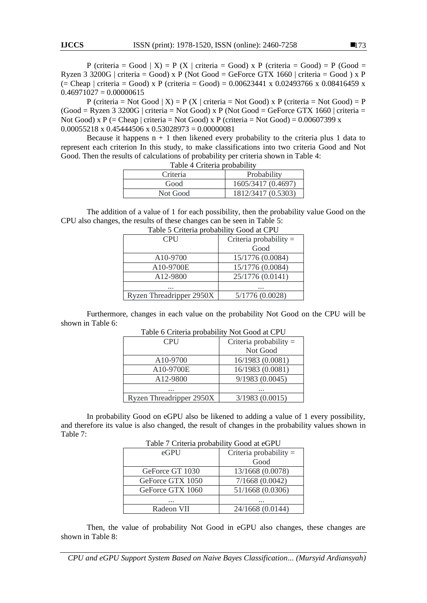P (criteria = Good | X) = P (X | criteria = Good) x P (criteria = Good) = P (Good = Ryzen 3 3200G | criteria = Good) x P (Not Good = GeForce GTX 1660 | criteria = Good) x P  $(=$  Cheap | criteria = Good) x P (criteria = Good) = 0.00623441 x 0.02493766 x 0.08416459 x  $0.46971027 = 0.00000615$ 

P (criteria = Not Good  $| X$ ) = P (X | criteria = Not Good) x P (criteria = Not Good) = P  $(Good = Ryzen 3 3200G | criteria = Not Good)$  x P (Not  $Good = GeForce GTX 1660 | criteria =$ Not Good) x P (= Cheap | criteria = Not Good) x P (criteria = Not Good) =  $0.00607399$  x  $0.00055218 \times 0.45444506 \times 0.53028973 = 0.00000081$ 

Because it happens  $n + 1$  then likened every probability to the criteria plus 1 data to represent each criterion In this study, to make classifications into two criteria Good and Not Good. Then the results of calculations of probability per criteria shown in Table 4: Table 4 Criteria probability

| $10010 + 101101100100001110$ |                    |  |
|------------------------------|--------------------|--|
| Criteria                     | Probability        |  |
| Good                         | 1605/3417 (0.4697) |  |
| Not Good                     | 1812/3417 (0.5303) |  |

The addition of a value of 1 for each possibility, then the probability value Good on the CPU also changes, the results of these changes can be seen in Table 5:

| <b>CPU</b>               | Criteria probability $=$ |  |  |
|--------------------------|--------------------------|--|--|
|                          | Good                     |  |  |
| A10-9700                 | 15/1776 (0.0084)         |  |  |
| A10-9700E                | 15/1776 (0.0084)         |  |  |
| A12-9800                 | 25/1776 (0.0141)         |  |  |
| $\cdots$                 | $\cdots$                 |  |  |
| Ryzen Threadripper 2950X | 5/1776(0.0028)           |  |  |

|  | Table 5 Criteria probability Good at CPU |  |
|--|------------------------------------------|--|

Furthermore, changes in each value on the probability Not Good on the CPU will be shown in Table 6:

| <b>CPU</b>               | Criteria probability $=$ |
|--------------------------|--------------------------|
|                          | Not Good                 |
| A <sub>10</sub> -9700    | 16/1983 (0.0081)         |
| A10-9700E                | 16/1983 (0.0081)         |
| A12-9800                 | 9/1983(0.0045)           |
| $\cdots$                 | $\cdots$                 |
| Ryzen Threadripper 2950X | 3/1983(0.0015)           |

#### Table 6 Criteria probability Not Good at CPU

In probability Good on eGPU also be likened to adding a value of 1 every possibility, and therefore its value is also changed, the result of changes in the probability values shown in Table 7:

| Table 7 Criteria probability Good at eGPU |                        |  |
|-------------------------------------------|------------------------|--|
| $e$ GPU                                   | Criteria probability = |  |
| Good                                      |                        |  |
| GeForce GT 1030                           | 13/1668 (0.0078)       |  |
| GeForce GTX 1050                          | 7/1668(0.0042)         |  |
| GeForce GTX 1060                          | 51/1668 (0.0306)       |  |
| .                                         |                        |  |
| 24/1668 (0.0144)<br>Radeon VII            |                        |  |

Then, the value of probability Not Good in eGPU also changes, these changes are shown in Table 8:

*CPU and eGPU Support System Based on Naive Bayes Classification... (Mursyid Ardiansyah)*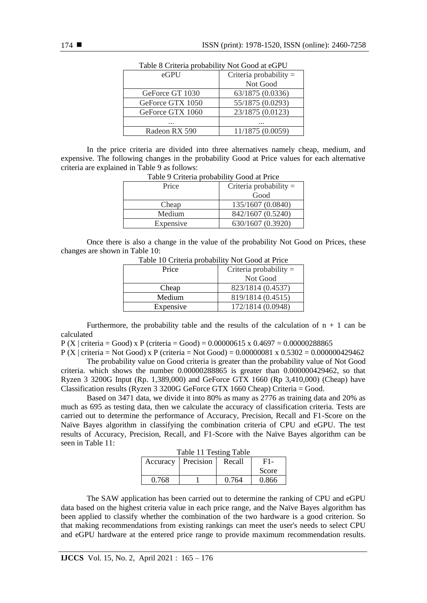| Table o Chicha probability two Good at CGT O |                  |  |
|----------------------------------------------|------------------|--|
| Criteria probability $=$<br>$e$ GPU          |                  |  |
|                                              | Not Good         |  |
| GeForce GT 1030                              | 63/1875 (0.0336) |  |
| GeForce GTX 1050                             | 55/1875 (0.0293) |  |
| GeForce GTX 1060                             | 23/1875 (0.0123) |  |
| .                                            | .                |  |
| Radeon RX 590                                | 11/1875 (0.0059) |  |
|                                              |                  |  |

Table 8 Criteria probability Not Good at eGPU

In the price criteria are divided into three alternatives namely cheap, medium, and expensive. The following changes in the probability Good at Price values for each alternative criteria are explained in Table 9 as follows:

| Table ) Chicha probability Good at Frice |                          |  |
|------------------------------------------|--------------------------|--|
| Price                                    | Criteria probability $=$ |  |
|                                          | Good                     |  |
| Cheap                                    | 135/1607 (0.0840)        |  |
| Medium                                   | 842/1607 (0.5240)        |  |
| Expensive                                | 630/1607 (0.3920)        |  |

Table 9 Criteria probability Good at Price

Once there is also a change in the value of the probability Not Good on Prices, these changes are shown in Table 10:

| Price     | Criteria probability $=$ |  |
|-----------|--------------------------|--|
|           | Not Good                 |  |
| Cheap     | 823/1814 (0.4537)        |  |
| Medium    | 819/1814 (0.4515)        |  |
| Expensive | 172/1814 (0.0948)        |  |

Table 10 Criteria probability Not Good at Price

Furthermore, the probability table and the results of the calculation of  $n + 1$  can be calculated

 $P (X \mid crit = Good) \times P (crit = Good) = 0.00000615 \times 0.4697 = 0.00000288865$ 

P (X | criteria = Not Good) x P (criteria = Not Good) = 0.00000081 x 0.5302 = 0.000000429462

The probability value on Good criteria is greater than the probability value of Not Good criteria. which shows the number 0.00000288865 is greater than 0.000000429462, so that Ryzen 3 3200G Input (Rp. 1,389,000) and GeForce GTX 1660 (Rp 3,410,000) (Cheap) have Classification results (Ryzen 3 3200G GeForce GTX 1660 Cheap) Criteria = Good.

Based on 3471 data, we divide it into 80% as many as 2776 as training data and 20% as much as 695 as testing data, then we calculate the accuracy of classification criteria. Tests are carried out to determine the performance of Accuracy, Precision, Recall and F1-Score on the Naïve Bayes algorithm in classifying the combination criteria of CPU and eGPU. The test results of Accuracy, Precision, Recall, and F1-Score with the Naïve Bayes algorithm can be seen in Table 11:

| Table II Testing Table |           |        |       |
|------------------------|-----------|--------|-------|
| Accuracy               | Precision | Recall | $F1-$ |
|                        |           |        | Score |
| 0.768                  |           | 0.764  | 0.866 |

Table 11 Testing Table

The SAW application has been carried out to determine the ranking of CPU and eGPU data based on the highest criteria value in each price range, and the Naïve Bayes algorithm has been applied to classify whether the combination of the two hardware is a good criterion. So that making recommendations from existing rankings can meet the user's needs to select CPU and eGPU hardware at the entered price range to provide maximum recommendation results.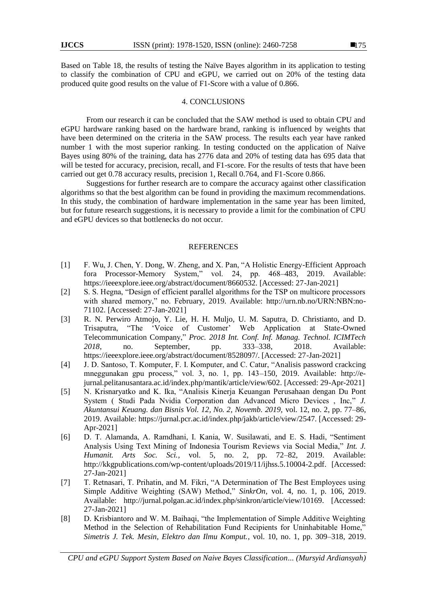Based on Table 18, the results of testing the Naïve Bayes algorithm in its application to testing to classify the combination of CPU and eGPU, we carried out on 20% of the testing data produced quite good results on the value of F1-Score with a value of 0.866.

## 4. CONCLUSIONS

From our research it can be concluded that the SAW method is used to obtain CPU and eGPU hardware ranking based on the hardware brand, ranking is influenced by weights that have been determined on the criteria in the SAW process. The results each year have ranked number 1 with the most superior ranking. In testing conducted on the application of Naïve Bayes using 80% of the training, data has 2776 data and 20% of testing data has 695 data that will be tested for accuracy, precision, recall, and F1-score. For the results of tests that have been carried out get 0.78 accuracy results, precision 1, Recall 0.764, and F1-Score 0.866.

Suggestions for further research are to compare the accuracy against other classification algorithms so that the best algorithm can be found in providing the maximum recommendations. In this study, the combination of hardware implementation in the same year has been limited, but for future research suggestions, it is necessary to provide a limit for the combination of CPU and eGPU devices so that bottlenecks do not occur.

#### REFERENCES

- [1] F. Wu, J. Chen, Y. Dong, W. Zheng, and X. Pan, "A Holistic Energy-Efficient Approach fora Processor-Memory System," vol. 24, pp. 468–483, 2019. Available: https://ieeexplore.ieee.org/abstract/document/8660532. [Accessed: 27-Jan-2021]
- [2] S. S. Hegna, "Design of efficient parallel algorithms for the TSP on multicore processors with shared memory," no. February, 2019. Available: http://urn.nb.no/URN:NBN:no-71102. [Accessed: 27-Jan-2021]
- [3] R. N. Perwiro Atmojo, Y. Lie, H. H. Muljo, U. M. Saputra, D. Christianto, and D. Trisaputra, "The "Voice of Customer" Web Application at State-Owned Telecommunication Company," *Proc. 2018 Int. Conf. Inf. Manag. Technol. ICIMTech 2018*, no. September, pp. 333–338, 2018. Available: https://ieeexplore.ieee.org/abstract/document/8528097/. [Accessed: 27-Jan-2021]
- [4] J. D. Santoso, T. Komputer, F. I. Komputer, and C. Catur, "Analisis password crackcing mneggunakan gpu process," vol. 3, no. 1, pp. 143–150, 2019. Available: http://ejurnal.pelitanusantara.ac.id/index.php/mantik/article/view/602. [Accessed: 29-Apr-2021]
- [5] N. Krisnaryatko and K. Ika, "Analisis Kinerja Keuangan Perusahaan dengan Du Pont System ( Studi Pada Nvidia Corporation dan Advanced Micro Devices , Inc," *J. Akuntansui Keuang. dan Bisnis Vol. 12, No. 2, Novemb. 2019,* vol. 12, no. 2, pp. 77–86, 2019. Available: https://jurnal.pcr.ac.id/index.php/jakb/article/view/2547. [Accessed: 29- Apr-2021]
- [6] D. T. Alamanda, A. Ramdhani, I. Kania, W. Susilawati, and E. S. Hadi, "Sentiment Analysis Using Text Mining of Indonesia Tourism Reviews via Social Media," *Int. J. Humanit. Arts Soc. Sci.*, vol. 5, no. 2, pp. 72–82, 2019. Available: http://kkgpublications.com/wp-content/uploads/2019/11/ijhss.5.10004-2.pdf. [Accessed: 27-Jan-2021]
- [7] T. Retnasari, T. Prihatin, and M. Fikri, "A Determination of The Best Employees using Simple Additive Weighting (SAW) Method," *SinkrOn*, vol. 4, no. 1, p. 106, 2019. Available: http://jurnal.polgan.ac.id/index.php/sinkron/article/view/10169. [Accessed: 27-Jan-2021]
- [8] D. Krisbiantoro and W. M. Baihaqi, "the Implementation of Simple Additive Weighting Method in the Selection of Rehabilitation Fund Recipients for Uninhabitable Home," *Simetris J. Tek. Mesin, Elektro dan Ilmu Komput.*, vol. 10, no. 1, pp. 309–318, 2019.